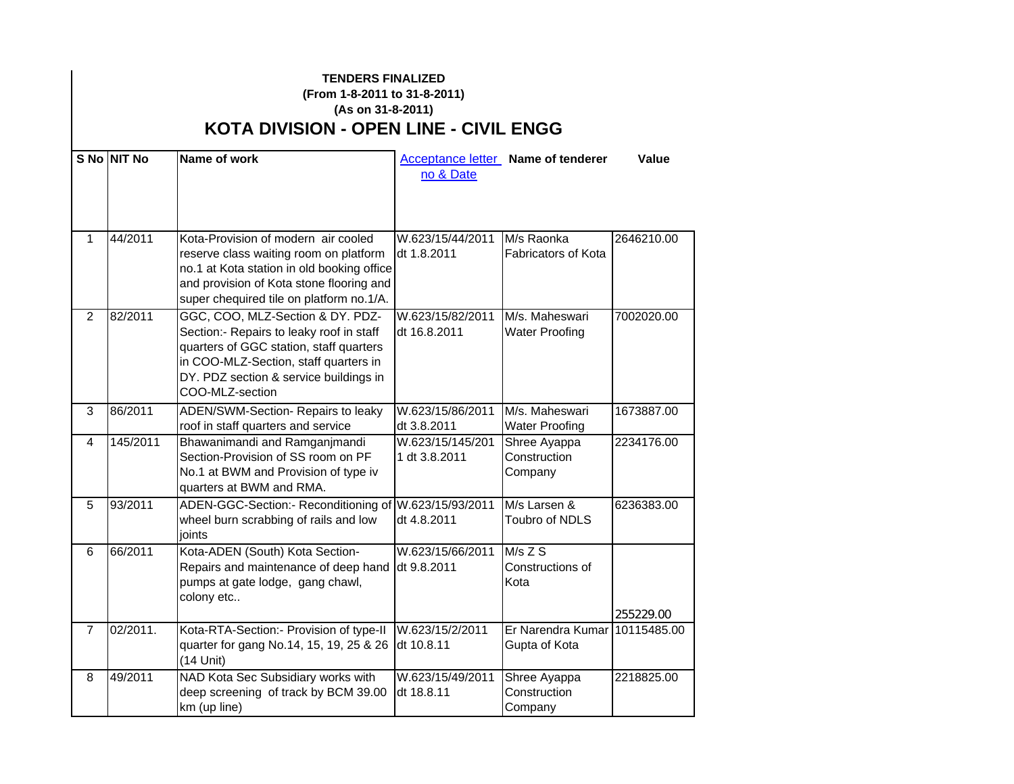## **TENDERS FINALIZED**

## **(From 1-8-2011 to 31-8-2011) (As on 31-8-2011) KOTA DIVISION - OPEN LINE - CIVIL ENGG**

|                | S No NIT No | Name of work                                                                                                                                                                                                                  | no & Date                         | <b>Acceptance letter</b> Name of tenderer      | Value      |
|----------------|-------------|-------------------------------------------------------------------------------------------------------------------------------------------------------------------------------------------------------------------------------|-----------------------------------|------------------------------------------------|------------|
| $\mathbf{1}$   | 44/2011     | Kota-Provision of modern air cooled<br>reserve class waiting room on platform<br>no.1 at Kota station in old booking office<br>and provision of Kota stone flooring and<br>super chequired tile on platform no.1/A.           | W.623/15/44/2011<br>dt 1.8.2011   | M/s Raonka<br>Fabricators of Kota              | 2646210.00 |
| 2              | 82/2011     | GGC, COO, MLZ-Section & DY. PDZ-<br>Section:- Repairs to leaky roof in staff<br>quarters of GGC station, staff quarters<br>in COO-MLZ-Section, staff quarters in<br>DY. PDZ section & service buildings in<br>COO-MLZ-section | W.623/15/82/2011<br>dt 16.8.2011  | M/s. Maheswari<br><b>Water Proofing</b>        | 7002020.00 |
| 3              | 86/2011     | ADEN/SWM-Section- Repairs to leaky<br>roof in staff quarters and service                                                                                                                                                      | W.623/15/86/2011<br>dt 3.8.2011   | M/s. Maheswari<br><b>Water Proofing</b>        | 1673887.00 |
| $\overline{4}$ | 145/2011    | Bhawanimandi and Ramganimandi<br>Section-Provision of SS room on PF<br>No.1 at BWM and Provision of type iv<br>quarters at BWM and RMA.                                                                                       | W.623/15/145/201<br>1 dt 3.8.2011 | Shree Ayappa<br>Construction<br>Company        | 2234176.00 |
| 5              | 93/2011     | ADEN-GGC-Section:- Reconditioning of W.623/15/93/2011<br>wheel burn scrabbing of rails and low<br>joints                                                                                                                      | dt 4.8.2011                       | M/s Larsen &<br><b>Toubro of NDLS</b>          | 6236383.00 |
| 6              | 66/2011     | Kota-ADEN (South) Kota Section-<br>Repairs and maintenance of deep hand<br>pumps at gate lodge, gang chawl,<br>colony etc                                                                                                     | W.623/15/66/2011<br>dt 9.8.2011   | $M/s$ Z S<br>Constructions of<br>Kota          | 255229.00  |
| $\overline{7}$ | 02/2011.    | Kota-RTA-Section:- Provision of type-II<br>quarter for gang No.14, 15, 19, 25 & 26<br>(14 Unit)                                                                                                                               | W.623/15/2/2011<br>dt 10.8.11     | Er Narendra Kumar 10115485.00<br>Gupta of Kota |            |
| 8              | 49/2011     | NAD Kota Sec Subsidiary works with<br>deep screening of track by BCM 39.00<br>km (up line)                                                                                                                                    | W.623/15/49/2011<br>dt 18.8.11    | Shree Ayappa<br>Construction<br>Company        | 2218825.00 |